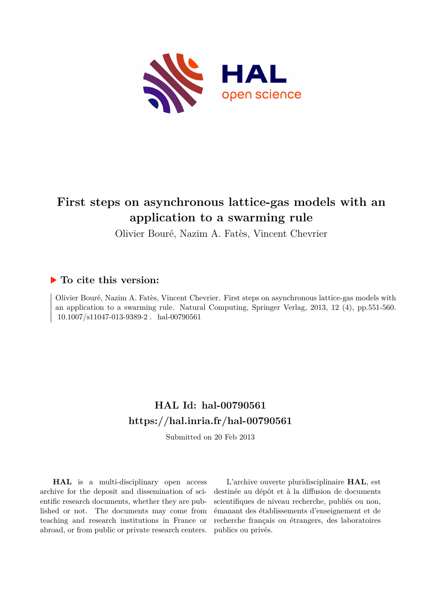

# **First steps on asynchronous lattice-gas models with an application to a swarming rule**

Olivier Bouré, Nazim A. Fatès, Vincent Chevrier

# **To cite this version:**

Olivier Bouré, Nazim A. Fatès, Vincent Chevrier. First steps on asynchronous lattice-gas models with an application to a swarming rule. Natural Computing, Springer Verlag, 2013, 12 (4), pp.551-560.  $10.1007/s11047-013-9389-2$ . hal-00790561

# **HAL Id: hal-00790561 <https://hal.inria.fr/hal-00790561>**

Submitted on 20 Feb 2013

**HAL** is a multi-disciplinary open access archive for the deposit and dissemination of scientific research documents, whether they are published or not. The documents may come from teaching and research institutions in France or abroad, or from public or private research centers.

L'archive ouverte pluridisciplinaire **HAL**, est destinée au dépôt et à la diffusion de documents scientifiques de niveau recherche, publiés ou non, émanant des établissements d'enseignement et de recherche français ou étrangers, des laboratoires publics ou privés.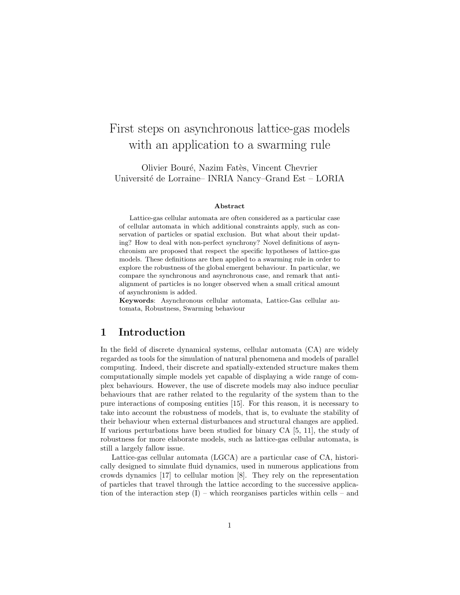# First steps on asynchronous lattice-gas models with an application to a swarming rule

Olivier Bouré, Nazim Fatès, Vincent Chevrier Universit´e de Lorraine– INRIA Nancy–Grand Est – LORIA

#### Abstract

Lattice-gas cellular automata are often considered as a particular case of cellular automata in which additional constraints apply, such as conservation of particles or spatial exclusion. But what about their updating? How to deal with non-perfect synchrony? Novel definitions of asynchronism are proposed that respect the specific hypotheses of lattice-gas models. These definitions are then applied to a swarming rule in order to explore the robustness of the global emergent behaviour. In particular, we compare the synchronous and asynchronous case, and remark that antialignment of particles is no longer observed when a small critical amount of asynchronism is added.

Keywords: Asynchronous cellular automata, Lattice-Gas cellular automata, Robustness, Swarming behaviour

# 1 Introduction

In the field of discrete dynamical systems, cellular automata (CA) are widely regarded as tools for the simulation of natural phenomena and models of parallel computing. Indeed, their discrete and spatially-extended structure makes them computationally simple models yet capable of displaying a wide range of complex behaviours. However, the use of discrete models may also induce peculiar behaviours that are rather related to the regularity of the system than to the pure interactions of composing entities [15]. For this reason, it is necessary to take into account the robustness of models, that is, to evaluate the stability of their behaviour when external disturbances and structural changes are applied. If various perturbations have been studied for binary CA [5, 11], the study of robustness for more elaborate models, such as lattice-gas cellular automata, is still a largely fallow issue.

Lattice-gas cellular automata (LGCA) are a particular case of CA, historically designed to simulate fluid dynamics, used in numerous applications from crowds dynamics [17] to cellular motion [8]. They rely on the representation of particles that travel through the lattice according to the successive application of the interaction step  $(I)$  – which reorganises particles within cells – and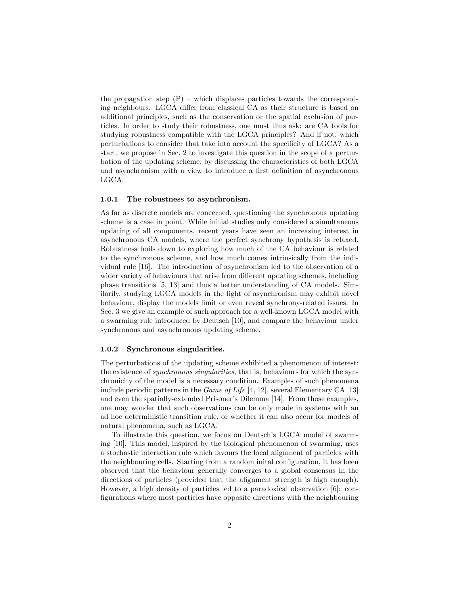the propagation step  $(P)$  – which displaces particles towards the corresponding neighbours. LGCA differ from classical CA as their structure is based on additional principles, such as the conservation or the spatial exclusion of particles. In order to study their robustness, one must thus ask: are CA tools for studying robustness compatible with the LGCA principles? And if not, which perturbations to consider that take into account the specificity of LGCA? As a start, we propose in Sec. 2 to investigate this question in the scope of a perturbation of the updating scheme, by discussing the characteristics of both LGCA and asynchronism with a view to introduce a first definition of asynchronous LGCA.

#### 1.0.1 The robustness to asynchronism.

As far as discrete models are concerned, questioning the synchronous updating scheme is a case in point. While initial studies only considered a simultaneous updating of all components, recent years have seen an increasing interest in asynchronous CA models, where the perfect synchrony hypothesis is relaxed. Robustness boils down to exploring how much of the CA behaviour is related to the synchronous scheme, and how much comes intrinsically from the individual rule [16]. The introduction of asynchronism led to the observation of a wider variety of behaviours that arise from different updating schemes, including phase transitions [5, 13] and thus a better understanding of CA models. Similarily, studying LGCA models in the light of asynchronism may exhibit novel behaviour, display the models limit or even reveal synchrony-related issues. In Sec. 3 we give an example of such approach for a well-known LGCA model with a swarming rule introduced by Deutsch [10], and compare the behaviour under synchronous and asynchronous updating scheme.

#### 1.0.2 Synchronous singularities.

The perturbations of the updating scheme exhibited a phenomenon of interest: the existence of synchronous singularities, that is, behaviours for which the synchronicity of the model is a necessary condition. Examples of such phenomena include periodic patterns in the *Game of Life* [4, 12], several Elementary CA [13] and even the spatially-extended Prisoner's Dilemma [14]. From those examples, one may wonder that such observations can be only made in systems with an ad hoc deterministic transition rule, or whether it can also occur for models of natural phenomena, such as LGCA.

To illustrate this question, we focus on Deutsch's LGCA model of swarming [10]. This model, inspired by the biological phenomenon of swarming, uses a stochastic interaction rule which favours the local alignment of particles with the neighbouring cells. Starting from a random inital configuration, it has been observed that the behaviour generally converges to a global consensus in the directions of particles (provided that the alignment strength is high enough). However, a high density of particles led to a paradoxical observation [6]: configurations where most particles have opposite directions with the neighbouring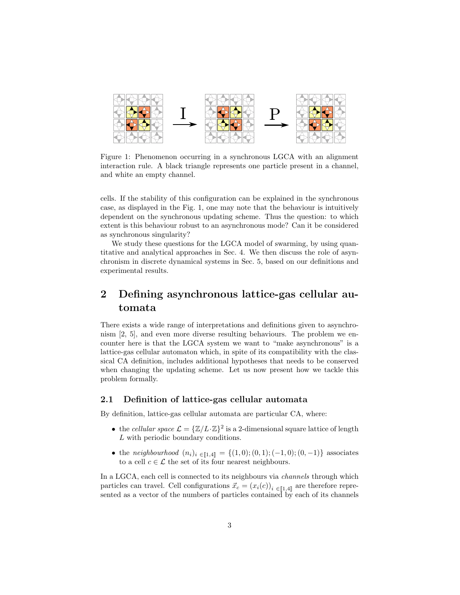

Figure 1: Phenomenon occurring in a synchronous LGCA with an alignment interaction rule. A black triangle represents one particle present in a channel, and white an empty channel.

cells. If the stability of this configuration can be explained in the synchronous case, as displayed in the Fig. 1, one may note that the behaviour is intuitively dependent on the synchronous updating scheme. Thus the question: to which extent is this behaviour robust to an asynchronous mode? Can it be considered as synchronous singularity?

We study these questions for the LGCA model of swarming, by using quantitative and analytical approaches in Sec. 4. We then discuss the role of asynchronism in discrete dynamical systems in Sec. 5, based on our definitions and experimental results.

# 2 Defining asynchronous lattice-gas cellular automata

There exists a wide range of interpretations and definitions given to asynchronism [2, 5], and even more diverse resulting behaviours. The problem we encounter here is that the LGCA system we want to "make asynchronous" is a lattice-gas cellular automaton which, in spite of its compatibility with the classical CA definition, includes additional hypotheses that needs to be conserved when changing the updating scheme. Let us now present how we tackle this problem formally.

## 2.1 Definition of lattice-gas cellular automata

By definition, lattice-gas cellular automata are particular CA, where:

- the cellular space  $\mathcal{L} = {\{\mathbb{Z}/L \cdot \mathbb{Z}\}}^2$  is a 2-dimensional square lattice of length L with periodic boundary conditions.
- the neighbourhood  $(n_i)_i \in [1,4] = \{(1,0); (0,1); (-1,0); (0,-1)\}$  associates to a cell  $c \in \mathcal{L}$  the set of its four nearest neighbours.

In a LGCA, each cell is connected to its neighbours via *channels* through which particles can travel. Cell configurations  $\vec{x}_c = (x_i(c))_{i \in [1,4]}$  are therefore represented as a vector of the numbers of particles contained by each of its channels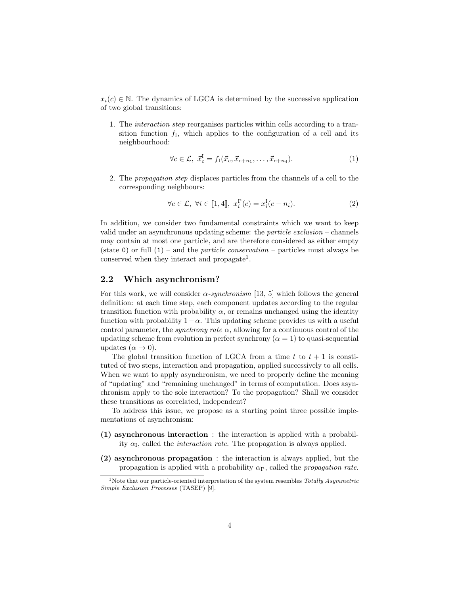$x_i(c) \in \mathbb{N}$ . The dynamics of LGCA is determined by the successive application of two global transitions:

1. The interaction step reorganises particles within cells according to a transition function  $f_I$ , which applies to the configuration of a cell and its neighbourhood:

$$
\forall c \in \mathcal{L}, \ \vec{x}_c^{\mathcal{I}} = f_{\mathcal{I}}(\vec{x}_c, \vec{x}_{c+n_1}, \dots, \vec{x}_{c+n_4}). \tag{1}
$$

2. The propagation step displaces particles from the channels of a cell to the corresponding neighbours:

$$
\forall c \in \mathcal{L}, \ \forall i \in [\![1, 4]\!], \ x_i^{\mathcal{P}}(c) = x_i^{\mathcal{I}}(c - n_i). \tag{2}
$$

In addition, we consider two fundamental constraints which we want to keep valid under an asynchronous updating scheme: the *particle exclusion* – channels may contain at most one particle, and are therefore considered as either empty (state 0) or full  $(1)$  – and the *particle conservation* – particles must always be conserved when they interact and propagate<sup>1</sup>.

## 2.2 Which asynchronism?

For this work, we will consider  $\alpha$ -synchronism [13, 5] which follows the general definition: at each time step, each component updates according to the regular transition function with probability  $\alpha$ , or remains unchanged using the identity function with probability  $1-\alpha$ . This updating scheme provides us with a useful control parameter, the *synchrony rate*  $\alpha$ , allowing for a continuous control of the updating scheme from evolution in perfect synchrony ( $\alpha = 1$ ) to quasi-sequential updates  $(\alpha \rightarrow 0)$ .

The global transition function of LGCA from a time t to  $t + 1$  is constituted of two steps, interaction and propagation, applied successively to all cells. When we want to apply asynchronism, we need to properly define the meaning of "updating" and "remaining unchanged" in terms of computation. Does asynchronism apply to the sole interaction? To the propagation? Shall we consider these transitions as correlated, independent?

To address this issue, we propose as a starting point three possible implementations of asynchronism:

- (1) asynchronous interaction : the interaction is applied with a probability  $\alpha_{\text{I}}$ , called the *interaction rate*. The propagation is always applied.
- (2) asynchronous propagation : the interaction is always applied, but the propagation is applied with a probability  $\alpha_{\rm P}$ , called the *propagation rate*.

<sup>&</sup>lt;sup>1</sup>Note that our particle-oriented interpretation of the system resembles  $Totally Asymmetric$ Simple Exclusion Processes (TASEP) [9].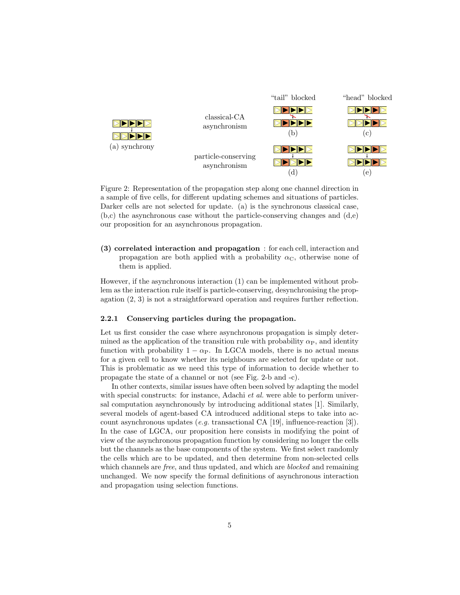

Figure 2: Representation of the propagation step along one channel direction in a sample of five cells, for different updating schemes and situations of particles. Darker cells are not selected for update. (a) is the synchronous classical case,  $(b,c)$  the asynchronous case without the particle-conserving changes and  $(d,e)$ our proposition for an asynchronous propagation.

(3) correlated interaction and propagation : for each cell, interaction and propagation are both applied with a probability  $\alpha_{\rm C}$ , otherwise none of them is applied.

However, if the asynchronous interaction (1) can be implemented without problem as the interaction rule itself is particle-conserving, desynchronising the propagation (2, 3) is not a straightforward operation and requires further reflection.

#### 2.2.1 Conserving particles during the propagation.

Let us first consider the case where asynchronous propagation is simply determined as the application of the transition rule with probability  $\alpha_{\rm P}$ , and identity function with probability  $1 - \alpha_P$ . In LGCA models, there is no actual means for a given cell to know whether its neighbours are selected for update or not. This is problematic as we need this type of information to decide whether to propagate the state of a channel or not (see Fig. 2-b and -c).

In other contexts, similar issues have often been solved by adapting the model with special constructs: for instance, Adachi *et al.* were able to perform universal computation asynchronously by introducing additional states [1]. Similarly, several models of agent-based CA introduced additional steps to take into account asynchronous updates (e.g. transactional CA [19], influence-reaction [3]). In the case of LGCA, our proposition here consists in modifying the point of view of the asynchronous propagation function by considering no longer the cells but the channels as the base components of the system. We first select randomly the cells which are to be updated, and then determine from non-selected cells which channels are *free*, and thus updated, and which are *blocked* and remaining unchanged. We now specify the formal definitions of asynchronous interaction and propagation using selection functions.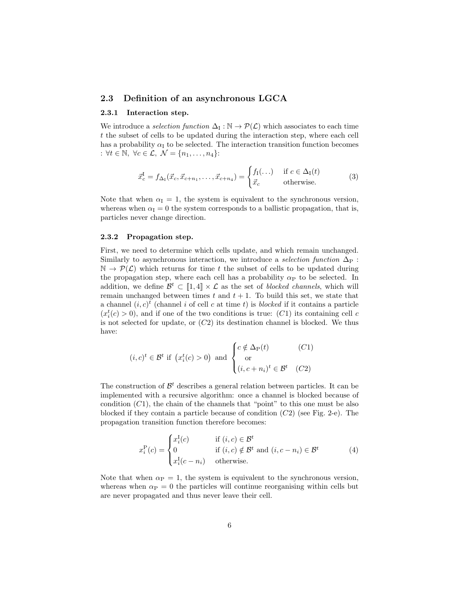## 2.3 Definition of an asynchronous LGCA

#### 2.3.1 Interaction step.

We introduce a *selection function*  $\Delta_{\mathcal{I}} : \mathbb{N} \to \mathcal{P}(\mathcal{L})$  which associates to each time t the subset of cells to be updated during the interaction step, where each cell has a probability  $\alpha_I$  to be selected. The interaction transition function becomes :  $\forall t \in \mathbb{N}, \ \forall c \in \mathcal{L}, \ \mathcal{N} = \{n_1, \ldots, n_4\}$ :

$$
\vec{x}_c^{\text{I}} = f_{\Delta_1}(\vec{x}_c, \vec{x}_{c+n_1}, \dots, \vec{x}_{c+n_4}) = \begin{cases} f_1(\dots) & \text{if } c \in \Delta_1(t) \\ \vec{x}_c & \text{otherwise.} \end{cases} \tag{3}
$$

Note that when  $\alpha_{\text{I}} = 1$ , the system is equivalent to the synchronous version, whereas when  $\alpha_{\text{I}} = 0$  the system corresponds to a ballistic propagation, that is, particles never change direction.

#### 2.3.2 Propagation step.

First, we need to determine which cells update, and which remain unchanged. Similarly to asynchronous interaction, we introduce a selection function  $\Delta_P$ :  $\mathbb{N} \to \mathcal{P}(\mathcal{L})$  which returns for time t the subset of cells to be updated during the propagation step, where each cell has a probability  $\alpha_{\rm P}$  to be selected. In addition, we define  $\mathcal{B}^t \subset [1, 4] \times \mathcal{L}$  as the set of *blocked channels*, which will remain unchanged between times t and  $t + 1$ . To build this set, we state that a channel  $(i, c)^t$  (channel i of cell c at time t) is blocked if it contains a particle  $(x_i^t(c) > 0)$ , and if one of the two conditions is true:  $(C1)$  its containing cell c is not selected for update, or  $(C2)$  its destination channel is blocked. We thus have:

$$
(i, c)^{t} \in \mathcal{B}^{t} \text{ if } \left(x_{i}^{t}(c) > 0\right) \text{ and } \begin{cases} c \notin \Delta_{\mathcal{P}}(t) & (C1) \\ \text{or} \\ (i, c + n_{i})^{t} \in \mathcal{B}^{t} & (C2) \end{cases}
$$

The construction of  $\mathcal{B}^t$  describes a general relation between particles. It can be implemented with a recursive algorithm: once a channel is blocked because of condition  $(C1)$ , the chain of the channels that "point" to this one must be also blocked if they contain a particle because of condition  $(C2)$  (see Fig. 2-e). The propagation transition function therefore becomes:

$$
x_i^{\mathcal{P}}(c) = \begin{cases} x_i^{\mathcal{I}}(c) & \text{if } (i, c) \in \mathcal{B}^t \\ 0 & \text{if } (i, c) \notin \mathcal{B}^t \text{ and } (i, c - n_i) \in \mathcal{B}^t \\ x_i^{\mathcal{I}}(c - n_i) & \text{otherwise.} \end{cases}
$$
(4)

Note that when  $\alpha_P = 1$ , the system is equivalent to the synchronous version, whereas when  $\alpha_P = 0$  the particles will continue reorganising within cells but are never propagated and thus never leave their cell.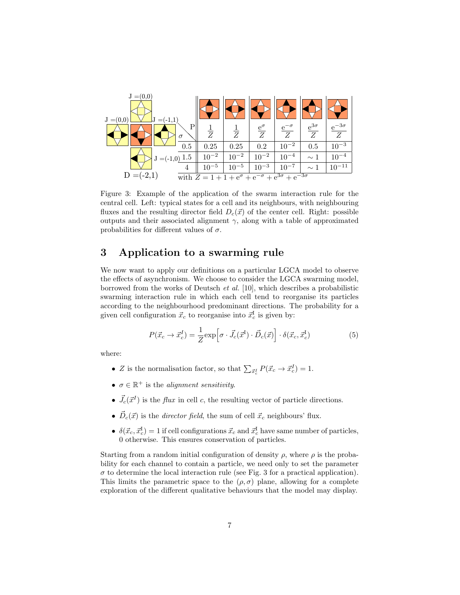

Figure 3: Example of the application of the swarm interaction rule for the central cell. Left: typical states for a cell and its neighbours, with neighbouring fluxes and the resulting director field  $D_c(\vec{x})$  of the center cell. Right: possible outputs and their associated alignment  $\gamma$ , along with a table of approximated probabilities for different values of  $\sigma$ .

# 3 Application to a swarming rule

We now want to apply our definitions on a particular LGCA model to observe the effects of asynchronism. We choose to consider the LGCA swarming model, borrowed from the works of Deutsch et al. [10], which describes a probabilistic swarming interaction rule in which each cell tend to reorganise its particles according to the neighbourhood predominant directions. The probability for a given cell configuration  $\vec{x}_c$  to reorganise into  $\vec{x}_c^{\text{I}}$  is given by:

$$
P(\vec{x}_c \to \vec{x}_c^I) = \frac{1}{Z} \exp\left[\sigma \cdot \vec{J}_c(\vec{x}^I) \cdot \vec{D}_c(\vec{x})\right] \cdot \delta(\vec{x}_c, \vec{x}_c^I)
$$
(5)

where:

- Z is the normalisation factor, so that  $\sum_{\vec{x}_c} P(\vec{x}_c \to \vec{x}_c^I) = 1$ .
- $\sigma \in \mathbb{R}^+$  is the *alignment sensitivity*.
- $\vec{J}_c(\vec{x}^I)$  is the *flux* in cell c, the resulting vector of particle directions.
- $\vec{D}_c(\vec{x})$  is the *director field*, the sum of cell  $\vec{x}_c$  neighbours' flux.
- $\delta(\vec{x}_c, \vec{x}_c^I) = 1$  if cell configurations  $\vec{x}_c$  and  $\vec{x}_c^I$  have same number of particles, 0 otherwise. This ensures conservation of particles.

Starting from a random initial configuration of density  $\rho$ , where  $\rho$  is the probability for each channel to contain a particle, we need only to set the parameter  $\sigma$  to determine the local interaction rule (see Fig. 3 for a practical application). This limits the parametric space to the  $(\rho, \sigma)$  plane, allowing for a complete exploration of the different qualitative behaviours that the model may display.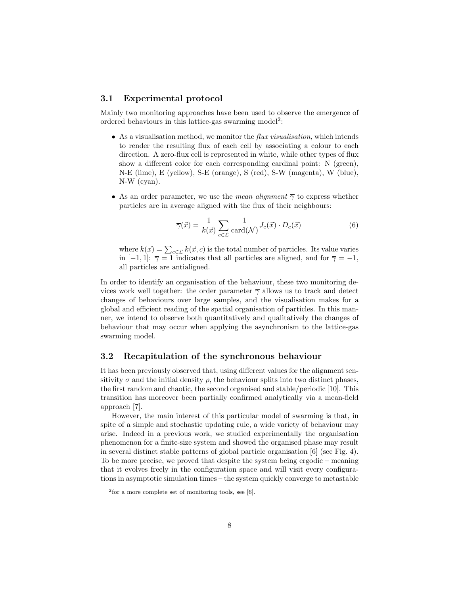## 3.1 Experimental protocol

Mainly two monitoring approaches have been used to observe the emergence of ordered behaviours in this lattice-gas swarming model<sup>2</sup>:

- As a visualisation method, we monitor the  $flux$  visualisation, which intends to render the resulting flux of each cell by associating a colour to each direction. A zero-flux cell is represented in white, while other types of flux show a different color for each corresponding cardinal point: N (green), N-E (lime), E (yellow), S-E (orange), S (red), S-W (magenta), W (blue), N-W (cyan).
- As an order parameter, we use the *mean alignment*  $\overline{\gamma}$  to express whether particles are in average aligned with the flux of their neighbours:

$$
\overline{\gamma}(\vec{x}) = \frac{1}{k(\vec{x})} \sum_{c \in \mathcal{L}} \frac{1}{\text{card}(\mathcal{N})} J_c(\vec{x}) \cdot D_c(\vec{x}) \tag{6}
$$

where  $k(\vec{x}) = \sum_{c \in \mathcal{L}} k(\vec{x}, c)$  is the total number of particles. Its value varies in [−1, 1]:  $\overline{\gamma} = 1$  indicates that all particles are aligned, and for  $\overline{\gamma} = -1$ , all particles are antialigned.

In order to identify an organisation of the behaviour, these two monitoring devices work well together: the order parameter  $\overline{\gamma}$  allows us to track and detect changes of behaviours over large samples, and the visualisation makes for a global and efficient reading of the spatial organisation of particles. In this manner, we intend to observe both quantitatively and qualitatively the changes of behaviour that may occur when applying the asynchronism to the lattice-gas swarming model.

## 3.2 Recapitulation of the synchronous behaviour

It has been previously observed that, using different values for the alignment sensitivity  $\sigma$  and the initial density  $\rho$ , the behaviour splits into two distinct phases, the first random and chaotic, the second organised and stable/periodic [10]. This transition has moreover been partially confirmed analytically via a mean-field approach [7].

However, the main interest of this particular model of swarming is that, in spite of a simple and stochastic updating rule, a wide variety of behaviour may arise. Indeed in a previous work, we studied experimentally the organisation phenomenon for a finite-size system and showed the organised phase may result in several distinct stable patterns of global particle organisation [6] (see Fig. 4). To be more precise, we proved that despite the system being ergodic – meaning that it evolves freely in the configuration space and will visit every configurations in asymptotic simulation times – the system quickly converge to metastable

<sup>2</sup> for a more complete set of monitoring tools, see [6].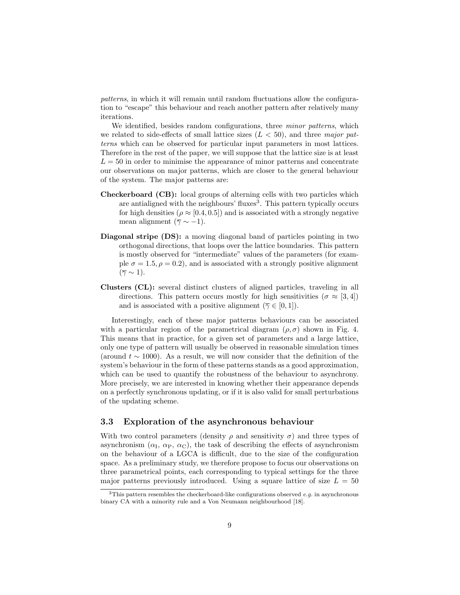patterns, in which it will remain until random fluctuations allow the configuration to "escape" this behaviour and reach another pattern after relatively many iterations.

We identified, besides random configurations, three *minor patterns*, which we related to side-effects of small lattice sizes  $(L < 50)$ , and three major patterns which can be observed for particular input parameters in most lattices. Therefore in the rest of the paper, we will suppose that the lattice size is at least  $L = 50$  in order to minimise the appearance of minor patterns and concentrate our observations on major patterns, which are closer to the general behaviour of the system. The major patterns are:

- Checkerboard (CB): local groups of alterning cells with two particles which are antialigned with the neighbours' fluxes<sup>3</sup>. This pattern typically occurs for high densities ( $\rho \approx [0.4, 0.5]$ ) and is associated with a strongly negative mean alignment ( $\overline{\gamma} \sim -1$ ).
- Diagonal stripe (DS): a moving diagonal band of particles pointing in two orthogonal directions, that loops over the lattice boundaries. This pattern is mostly observed for "intermediate" values of the parameters (for example  $\sigma = 1.5, \rho = 0.2$ , and is associated with a strongly positive alignment  $(\overline{\gamma} \sim 1).$
- Clusters (CL): several distinct clusters of aligned particles, traveling in all directions. This pattern occurs mostly for high sensitivities ( $\sigma \approx [3, 4]$ ) and is associated with a positive alignment ( $\overline{\gamma} \in [0, 1]$ ).

Interestingly, each of these major patterns behaviours can be associated with a particular region of the parametrical diagram  $(\rho, \sigma)$  shown in Fig. 4. This means that in practice, for a given set of parameters and a large lattice, only one type of pattern will usually be observed in reasonable simulation times (around  $t \sim 1000$ ). As a result, we will now consider that the definition of the system's behaviour in the form of these patterns stands as a good approximation, which can be used to quantify the robustness of the behaviour to asynchrony. More precisely, we are interested in knowing whether their appearance depends on a perfectly synchronous updating, or if it is also valid for small perturbations of the updating scheme.

## 3.3 Exploration of the asynchronous behaviour

With two control parameters (density  $\rho$  and sensitivity  $\sigma$ ) and three types of asynchronism  $(\alpha_{\text{I}}, \alpha_{\text{P}}, \alpha_{\text{C}})$ , the task of describing the effects of asynchronism on the behaviour of a LGCA is difficult, due to the size of the configuration space. As a preliminary study, we therefore propose to focus our observations on three parametrical points, each corresponding to typical settings for the three major patterns previously introduced. Using a square lattice of size  $L = 50$ 

<sup>&</sup>lt;sup>3</sup>This pattern resembles the checkerboard-like configurations observed *e.g.* in asynchronous binary CA with a minority rule and a Von Neumann neighbourhood [18].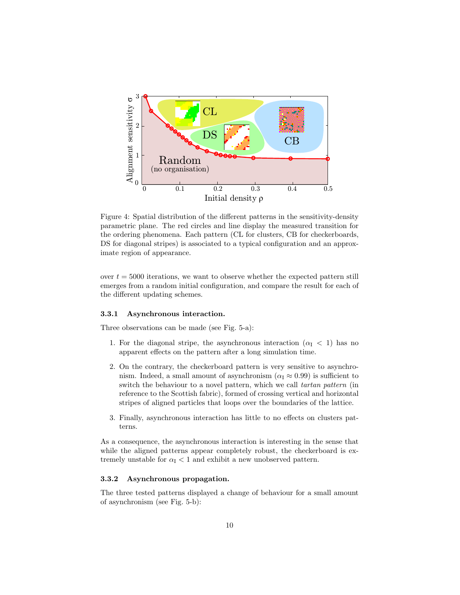

Figure 4: Spatial distribution of the different patterns in the sensitivity-density parametric plane. The red circles and line display the measured transition for the ordering phenomena. Each pattern (CL for clusters, CB for checkerboards, DS for diagonal stripes) is associated to a typical configuration and an approximate region of appearance.

over  $t = 5000$  iterations, we want to observe whether the expected pattern still emerges from a random initial configuration, and compare the result for each of the different updating schemes.

#### 3.3.1 Asynchronous interaction.

Three observations can be made (see Fig. 5-a):

- 1. For the diagonal stripe, the asynchronous interaction  $(\alpha_I < 1)$  has no apparent effects on the pattern after a long simulation time.
- 2. On the contrary, the checkerboard pattern is very sensitive to asynchronism. Indeed, a small amount of asynchronism ( $\alpha_{\rm I} \approx 0.99$ ) is sufficient to switch the behaviour to a novel pattern, which we call tartan pattern (in reference to the Scottish fabric), formed of crossing vertical and horizontal stripes of aligned particles that loops over the boundaries of the lattice.
- 3. Finally, asynchronous interaction has little to no effects on clusters patterns.

As a consequence, the asynchronous interaction is interesting in the sense that while the aligned patterns appear completely robust, the checkerboard is extremely unstable for  $\alpha_{\text{I}} < 1$  and exhibit a new unobserved pattern.

## 3.3.2 Asynchronous propagation.

The three tested patterns displayed a change of behaviour for a small amount of asynchronism (see Fig. 5-b):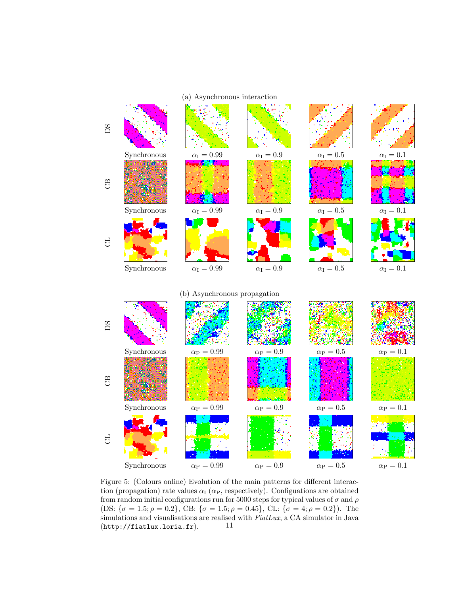

Figure 5: (Colours online) Evolution of the main patterns for different interaction (propagation) rate values  $\alpha_I$  ( $\alpha_P$ , respectively). Configuations are obtained from random initial configurations run for 5000 steps for typical values of  $\sigma$  and  $\rho$ (DS:  $\{\sigma = 1.5; \rho = 0.2\}$ , CB:  $\{\sigma = 1.5; \rho = 0.45\}$ , CL:  $\{\sigma = 4; \rho = 0.2\}$ ). The simulations and visualisations are realised with FiatLux, a CA simulator in Java  $(http://fiatlux.loria.fr).$  11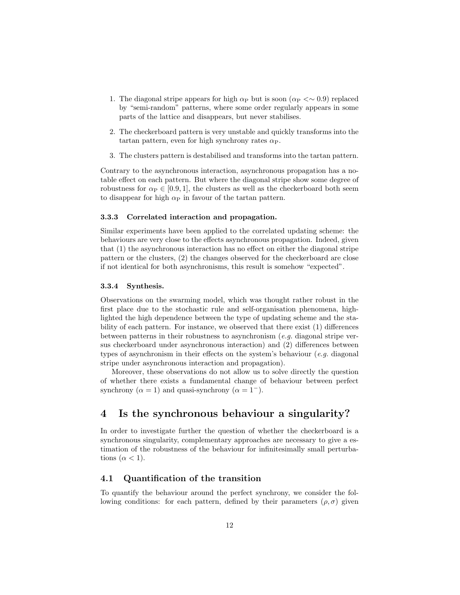- 1. The diagonal stripe appears for high  $\alpha_P$  but is soon ( $\alpha_P < \sim 0.9$ ) replaced by "semi-random" patterns, where some order regularly appears in some parts of the lattice and disappears, but never stabilises.
- 2. The checkerboard pattern is very unstable and quickly transforms into the tartan pattern, even for high synchrony rates  $\alpha_{\rm P}$ .
- 3. The clusters pattern is destabilised and transforms into the tartan pattern.

Contrary to the asynchronous interaction, asynchronous propagation has a notable effect on each pattern. But where the diagonal stripe show some degree of robustness for  $\alpha_P \in [0.9, 1]$ , the clusters as well as the checkerboard both seem to disappear for high  $\alpha_P$  in favour of the tartan pattern.

#### 3.3.3 Correlated interaction and propagation.

Similar experiments have been applied to the correlated updating scheme: the behaviours are very close to the effects asynchronous propagation. Indeed, given that (1) the asynchronous interaction has no effect on either the diagonal stripe pattern or the clusters, (2) the changes observed for the checkerboard are close if not identical for both asynchronisms, this result is somehow "expected".

#### 3.3.4 Synthesis.

Observations on the swarming model, which was thought rather robust in the first place due to the stochastic rule and self-organisation phenomena, highlighted the high dependence between the type of updating scheme and the stability of each pattern. For instance, we observed that there exist (1) differences between patterns in their robustness to asynchronism (e.g. diagonal stripe versus checkerboard under asynchronous interaction) and (2) differences between types of asynchronism in their effects on the system's behaviour  $(e.g.$  diagonal stripe under asynchronous interaction and propagation).

Moreover, these observations do not allow us to solve directly the question of whether there exists a fundamental change of behaviour between perfect synchrony ( $\alpha = 1$ ) and quasi-synchrony ( $\alpha = 1^-$ ).

# 4 Is the synchronous behaviour a singularity?

In order to investigate further the question of whether the checkerboard is a synchronous singularity, complementary approaches are necessary to give a estimation of the robustness of the behaviour for infinitesimally small perturbations  $(\alpha < 1)$ .

## 4.1 Quantification of the transition

To quantify the behaviour around the perfect synchrony, we consider the following conditions: for each pattern, defined by their parameters  $(\rho, \sigma)$  given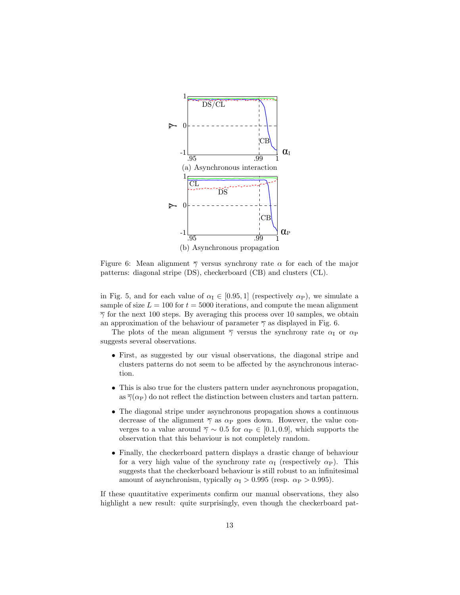

Figure 6: Mean alignment  $\overline{\gamma}$  versus synchrony rate  $\alpha$  for each of the major patterns: diagonal stripe (DS), checkerboard (CB) and clusters (CL).

in Fig. 5, and for each value of  $\alpha_I \in [0.95, 1]$  (respectively  $\alpha_P$ ), we simulate a sample of size  $L = 100$  for  $t = 5000$  iterations, and compute the mean alignment  $\overline{\gamma}$  for the next 100 steps. By averaging this process over 10 samples, we obtain an approximation of the behaviour of parameter  $\overline{\gamma}$  as displayed in Fig. 6.

The plots of the mean alignment  $\overline{\gamma}$  versus the synchrony rate  $\alpha_{\rm I}$  or  $\alpha_{\rm P}$ suggests several observations.

- First, as suggested by our visual observations, the diagonal stripe and clusters patterns do not seem to be affected by the asynchronous interaction.
- This is also true for the clusters pattern under asynchronous propagation, as  $\overline{\gamma}(\alpha_P)$  do not reflect the distinction between clusters and tartan pattern.
- The diagonal stripe under asynchronous propagation shows a continuous decrease of the alignment  $\overline{\gamma}$  as  $\alpha_{\rm P}$  goes down. However, the value converges to a value around  $\overline{\gamma} \sim 0.5$  for  $\alpha_{\rm P} \in [0.1, 0.9]$ , which supports the observation that this behaviour is not completely random.
- Finally, the checkerboard pattern displays a drastic change of behaviour for a very high value of the synchrony rate  $\alpha_I$  (respectively  $\alpha_P$ ). This suggests that the checkerboard behaviour is still robust to an infinitesimal amount of asynchronism, typically  $\alpha_{\rm I} > 0.995$  (resp.  $\alpha_{\rm P} > 0.995$ ).

If these quantitative experiments confirm our manual observations, they also highlight a new result: quite surprisingly, even though the checkerboard pat-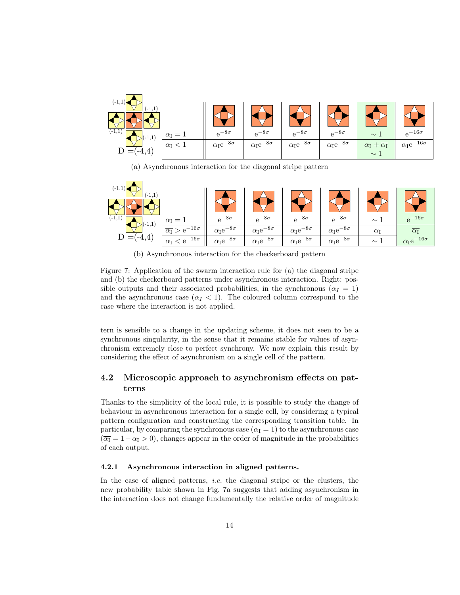

(a) Asynchronous interaction for the diagonal stripe pattern



(b) Asynchronous interaction for the checkerboard pattern

Figure 7: Application of the swarm interaction rule for (a) the diagonal stripe and (b) the checkerboard patterns under asynchronous interaction. Right: possible outputs and their associated probabilities, in the synchronous ( $\alpha_I = 1$ ) and the asynchronous case  $(\alpha_I < 1)$ . The coloured column correspond to the case where the interaction is not applied.

tern is sensible to a change in the updating scheme, it does not seen to be a synchronous singularity, in the sense that it remains stable for values of asynchronism extremely close to perfect synchrony. We now explain this result by considering the effect of asynchronism on a single cell of the pattern.

# 4.2 Microscopic approach to asynchronism effects on patterns

Thanks to the simplicity of the local rule, it is possible to study the change of behaviour in asynchronous interaction for a single cell, by considering a typical pattern configuration and constructing the corresponding transition table. In particular, by comparing the synchronous case  $(\alpha_I = 1)$  to the asynchronous case  $(\overline{\alpha_1} = 1 - \alpha_1 > 0)$ , changes appear in the order of magnitude in the probabilities of each output.

## 4.2.1 Asynchronous interaction in aligned patterns.

In the case of aligned patterns, *i.e.* the diagonal stripe or the clusters, the new probability table shown in Fig. 7a suggests that adding asynchronism in the interaction does not change fundamentally the relative order of magnitude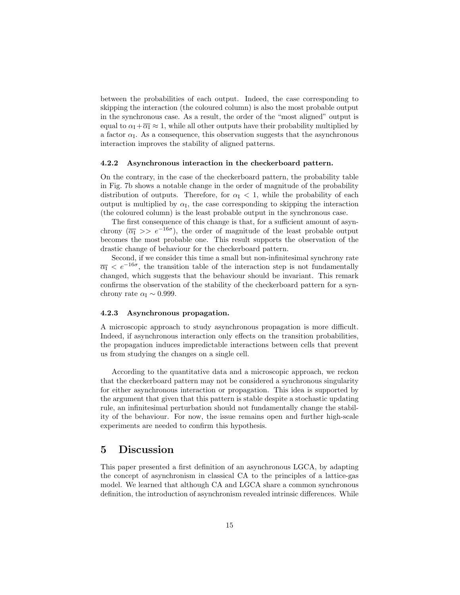between the probabilities of each output. Indeed, the case corresponding to skipping the interaction (the coloured column) is also the most probable output in the synchronous case. As a result, the order of the "most aligned" output is equal to  $\alpha_I + \overline{\alpha_I} \approx 1$ , while all other outputs have their probability multiplied by a factor  $\alpha_{\text{I}}$ . As a consequence, this observation suggests that the asynchronous interaction improves the stability of aligned patterns.

### 4.2.2 Asynchronous interaction in the checkerboard pattern.

On the contrary, in the case of the checkerboard pattern, the probability table in Fig. 7b shows a notable change in the order of magnitude of the probability distribution of outputs. Therefore, for  $\alpha_{\text{I}} < 1$ , while the probability of each output is multiplied by  $\alpha_{\text{I}}$ , the case corresponding to skipping the interaction (the coloured column) is the least probable output in the synchronous case.

The first consequence of this change is that, for a sufficient amount of asynchrony  $(\overline{\alpha}_I \gg e^{-16\sigma})$ , the order of magnitude of the least probable output becomes the most probable one. This result supports the observation of the drastic change of behaviour for the checkerboard pattern.

Second, if we consider this time a small but non-infinitesimal synchrony rate  $\overline{\alpha_1}$  <  $e^{-16\sigma}$ , the transition table of the interaction step is not fundamentally changed, which suggests that the behaviour should be invariant. This remark confirms the observation of the stability of the checkerboard pattern for a synchrony rate  $\alpha_{\rm I} \sim 0.999$ .

#### 4.2.3 Asynchronous propagation.

A microscopic approach to study asynchronous propagation is more difficult. Indeed, if asynchronous interaction only effects on the transition probabilities, the propagation induces impredictable interactions between cells that prevent us from studying the changes on a single cell.

According to the quantitative data and a microscopic approach, we reckon that the checkerboard pattern may not be considered a synchronous singularity for either asynchronous interaction or propagation. This idea is supported by the argument that given that this pattern is stable despite a stochastic updating rule, an infinitesimal perturbation should not fundamentally change the stability of the behaviour. For now, the issue remains open and further high-scale experiments are needed to confirm this hypothesis.

# 5 Discussion

This paper presented a first definition of an asynchronous LGCA, by adapting the concept of asynchronism in classical CA to the principles of a lattice-gas model. We learned that although CA and LGCA share a common synchronous definition, the introduction of asynchronism revealed intrinsic differences. While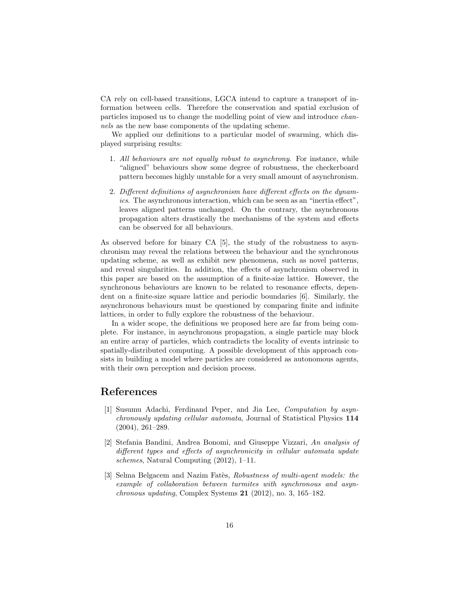CA rely on cell-based transitions, LGCA intend to capture a transport of information between cells. Therefore the conservation and spatial exclusion of particles imposed us to change the modelling point of view and introduce channels as the new base components of the updating scheme.

We applied our definitions to a particular model of swarming, which displayed surprising results:

- 1. All behaviours are not equally robust to asynchrony. For instance, while "aligned" behaviours show some degree of robustness, the checkerboard pattern becomes highly unstable for a very small amount of asynchronism.
- 2. Different definitions of asynchronism have different effects on the dynamics. The asynchronous interaction, which can be seen as an "inertia effect", leaves aligned patterns unchanged. On the contrary, the asynchronous propagation alters drastically the mechanisms of the system and effects can be observed for all behaviours.

As observed before for binary CA [5], the study of the robustness to asynchronism may reveal the relations between the behaviour and the synchronous updating scheme, as well as exhibit new phenomena, such as novel patterns, and reveal singularities. In addition, the effects of asynchronism observed in this paper are based on the assumption of a finite-size lattice. However, the synchronous behaviours are known to be related to resonance effects, dependent on a finite-size square lattice and periodic boundaries [6]. Similarly, the asynchronous behaviours must be questioned by comparing finite and infinite lattices, in order to fully explore the robustness of the behaviour.

In a wider scope, the definitions we proposed here are far from being complete. For instance, in asynchronous propagation, a single particle may block an entire array of particles, which contradicts the locality of events intrinsic to spatially-distributed computing. A possible development of this approach consists in building a model where particles are considered as autonomous agents, with their own perception and decision process.

# References

- [1] Susumu Adachi, Ferdinand Peper, and Jia Lee, Computation by asynchronously updating cellular automata, Journal of Statistical Physics 114 (2004), 261–289.
- [2] Stefania Bandini, Andrea Bonomi, and Giuseppe Vizzari, An analysis of different types and effects of asynchronicity in cellular automata update schemes, Natural Computing (2012), 1–11.
- [3] Selma Belgacem and Nazim Fatès, Robustness of multi-agent models: the example of collaboration between turmites with synchronous and asyn*chronous updating*, Complex Systems  $21$  (2012), no. 3, 165–182.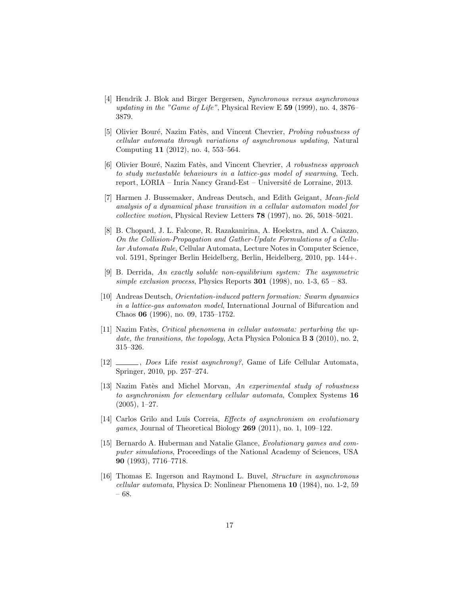- [4] Hendrik J. Blok and Birger Bergersen, Synchronous versus asynchronous updating in the "Game of Life", Physical Review E 59 (1999), no. 4, 3876– 3879.
- [5] Olivier Bouré, Nazim Fatès, and Vincent Chevrier, *Probing robustness of* cellular automata through variations of asynchronous updating, Natural Computing 11 (2012), no. 4, 553–564.
- [6] Olivier Bouré, Nazim Fatès, and Vincent Chevrier, A robustness approach to study metastable behaviours in a lattice-gas model of swarming, Tech. report, LORIA – Inria Nancy Grand-Est – Université de Lorraine, 2013.
- [7] Harmen J. Bussemaker, Andreas Deutsch, and Edith Geigant, Mean-field analysis of a dynamical phase transition in a cellular automaton model for collective motion, Physical Review Letters 78 (1997), no. 26, 5018–5021.
- [8] B. Chopard, J. L. Falcone, R. Razakanirina, A. Hoekstra, and A. Caiazzo, On the Collision-Propagation and Gather-Update Formulations of a Cellular Automata Rule, Cellular Automata, Lecture Notes in Computer Science, vol. 5191, Springer Berlin Heidelberg, Berlin, Heidelberg, 2010, pp. 144+.
- [9] B. Derrida, An exactly soluble non-equilibrium system: The asymmetric simple exclusion process, Physics Reports  $301$  (1998), no. 1-3, 65 – 83.
- [10] Andreas Deutsch, Orientation-induced pattern formation: Swarm dynamics in a lattice-gas automaton model, International Journal of Bifurcation and Chaos 06 (1996), no. 09, 1735–1752.
- [11] Nazim Fatès, Critical phenomena in cellular automata: perturbing the update, the transitions, the topology, Acta Physica Polonica B 3 (2010), no. 2, 315–326.
- [12] \_\_\_\_, Does Life resist asynchrony?, Game of Life Cellular Automata, Springer, 2010, pp. 257–274.
- [13] Nazim Fates and Michel Morvan, An experimental study of robustness to asynchronism for elementary cellular automata, Complex Systems 16  $(2005), 1-27.$
- [14] Carlos Grilo and Luís Correia, *Effects of asynchronism on evolutionary* games, Journal of Theoretical Biology 269 (2011), no. 1, 109–122.
- [15] Bernardo A. Huberman and Natalie Glance, Evolutionary games and computer simulations, Proceedings of the National Academy of Sciences, USA 90 (1993), 7716–7718.
- [16] Thomas E. Ingerson and Raymond L. Buvel, Structure in asynchronous cellular automata, Physica D: Nonlinear Phenomena 10 (1984), no. 1-2, 59 – 68.